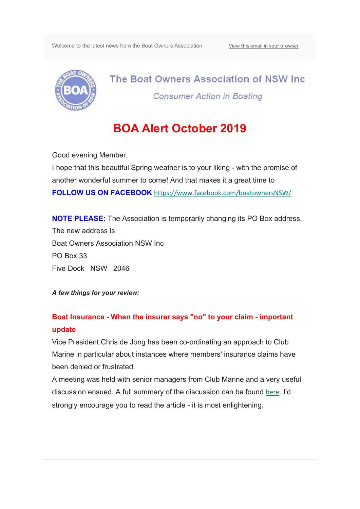Welcome to the latest news from the Boat Owners Association View this email in your browser



The Boat Owners Association of NSW Inc. **Consumer Action in Boating** 

# **BOA Alert October 2019**

Good evening Member,

I hope that this beautiful Spring weather is to your liking - with the promise of another wonderful summer to come! And that makes it a great time to **FOLLOW US ON FACEBOOK** https://www.facebook.com/boatownersNSW/

**NOTE PLEASE:** The Association is temporarily changing its PO Box address. The new address is Boat Owners Association NSW Inc PO Box 33 Five Dock NSW 2046

*A few things for your review:*

### **Boat Insurance - When the insurer says "no" to your claim - important update**

Vice President Chris de Jong has been co-ordinating an approach to Club Marine in particular about instances where members' insurance claims have been denied or frustrated.

A meeting was held with senior managers from Club Marine and a very useful discussion ensued. A full summary of the discussion can be found here. I'd strongly encourage you to read the article - it is most enlightening.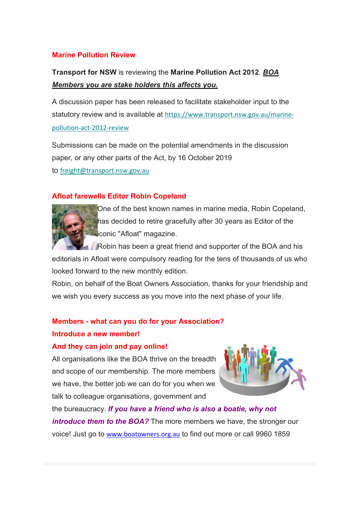### **Marine Pollution Review**

# **Transport for NSW** is reviewing the **Marine Pollution Act 2012**. *BOA Members you are stake holders this affects you.*

A discussion paper has been released to facilitate stakeholder input to the statutory review and is available at https://www.transport.nsw.gov.au/marinepollution‐act‐2012‐review

Submissions can be made on the potential amendments in the discussion paper, or any other parts of the Act, by 16 October 2019 to freight@transport.nsw.gov.au

### **Afloat farewells Editor Robin Copeland**



One of the best known names in marine media, Robin Copeland, has decided to retire gracefully after 30 years as Editor of the iconic "Afloat" magazine.

**Robin has been a great friend and supporter of the BOA and his** editorials in Afloat were compulsory reading for the tens of thousands of us who looked forward to the new monthly edition.

Robin, on behalf of the Boat Owners Association, thanks for your friendship and we wish you every success as you move into the next phase of your life.

# **Members - what can you do for your Association? Introduce a new member!**

#### **And they can join and pay online!**

All organisations like the BOA thrive on the breadth and scope of our membership. The more members we have, the better job we can do for you when we talk to colleague organisations, government and



the bureaucracy. *If you have a friend who is also a boatie, why not introduce them to the BOA?* The more members we have, the stronger our voice! Just go to www.boatowners.org.au to find out more or call 9960 1859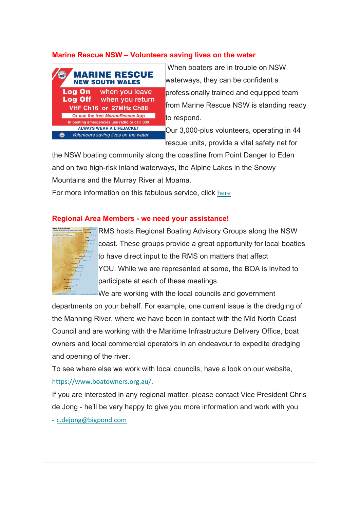### **Marine Rescue NSW – Volunteers saving lives on the water**



 When boaters are in trouble on NSW waterways, they can be confident a professionally trained and equipped team from Marine Rescue NSW is standing ready to respond.

Our 3,000-plus volunteers, operating in 44 rescue units, provide a vital safety net for

the NSW boating community along the coastline from Point Danger to Eden and on two high-risk inland waterways, the Alpine Lakes in the Snowy Mountains and the Murray River at Moama.

For more information on this fabulous service, click here

### **Regional Area Members - we need your assistance!**



RMS hosts Regional Boating Advisory Groups along the NSW coast. These groups provide a great opportunity for local boaties to have direct input to the RMS on matters that affect YOU. While we are represented at some, the BOA is invited to participate at each of these meetings.

We are working with the local councils and government

departments on your behalf. For example, one current issue is the dredging of the Manning River, where we have been in contact with the Mid North Coast Council and are working with the Maritime Infrastructure Delivery Office, boat owners and local commercial operators in an endeavour to expedite dredging and opening of the river.

To see where else we work with local councils, have a look on our website, https://www.boatowners.org.au/.

If you are interested in any regional matter, please contact Vice President Chris de Jong - he'll be very happy to give you more information and work with you - c.dejong@bigpond.com